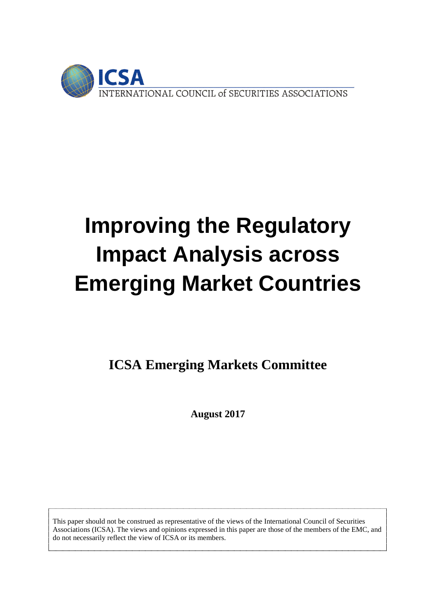

# **Improving the Regulatory Impact Analysis across Emerging Market Countries**

**ICSA Emerging Markets Committee**

**August 2017**

This paper should not be construed as representative of the views of the International Council of Securities Associations (ICSA). The views and opinions expressed in this paper are those of the members of the EMC, and do not necessarily reflect the view of ICSA or its members.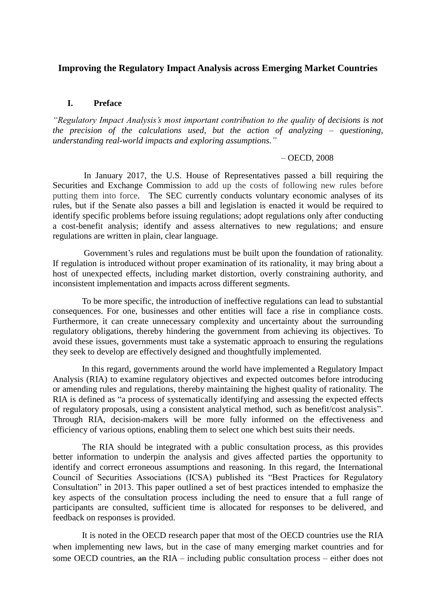### **Improving the Regulatory Impact Analysis across Emerging Market Countries**

#### **I. Preface**

*"Regulatory Impact Analysis's most important contribution to the quality of decisions is not the precision of the calculations used, but the action of analyzing – questioning, understanding real-world impacts and exploring assumptions."* 

#### – OECD, 2008

In January 2017, the U.S. House of Representatives passed a bill requiring the Securities and Exchange Commission to add up the costs of following new rules before putting them into force. The SEC currently conducts voluntary economic analyses of its rules, but if the Senate also passes a bill and legislation is enacted it would be required to identify specific problems before issuing regulations; adopt regulations only after conducting a cost-benefit analysis; identify and assess alternatives to new regulations; and ensure regulations are written in plain, clear language.

Government's rules and regulations must be built upon the foundation of rationality. If regulation is introduced without proper examination of its rationality, it may bring about a host of unexpected effects, including market distortion, overly constraining authority, and inconsistent implementation and impacts across different segments.

To be more specific, the introduction of ineffective regulations can lead to substantial consequences. For one, businesses and other entities will face a rise in compliance costs. Furthermore, it can create unnecessary complexity and uncertainty about the surrounding regulatory obligations, thereby hindering the government from achieving its objectives. To avoid these issues, governments must take a systematic approach to ensuring the regulations they seek to develop are effectively designed and thoughtfully implemented.

In this regard, governments around the world have implemented a Regulatory Impact Analysis (RIA) to examine regulatory objectives and expected outcomes before introducing or amending rules and regulations, thereby maintaining the highest quality of rationality. The RIA is defined as "a process of systematically identifying and assessing the expected effects of regulatory proposals, using a consistent analytical method, such as benefit/cost analysis". Through RIA, decision-makers will be more fully informed on the effectiveness and efficiency of various options, enabling them to select one which best suits their needs.

The RIA should be integrated with a public consultation process, as this provides better information to underpin the analysis and gives affected parties the opportunity to identify and correct erroneous assumptions and reasoning. In this regard, the International Council of Securities Associations (ICSA) published its "Best Practices for Regulatory Consultation" in 2013. This paper outlined a set of best practices intended to emphasize the key aspects of the consultation process including the need to ensure that a full range of participants are consulted, sufficient time is allocated for responses to be delivered, and feedback on responses is provided.

It is noted in the OECD research paper that most of the OECD countries use the RIA when implementing new laws, but in the case of many emerging market countries and for some OECD countries, an the RIA – including public consultation process – either does not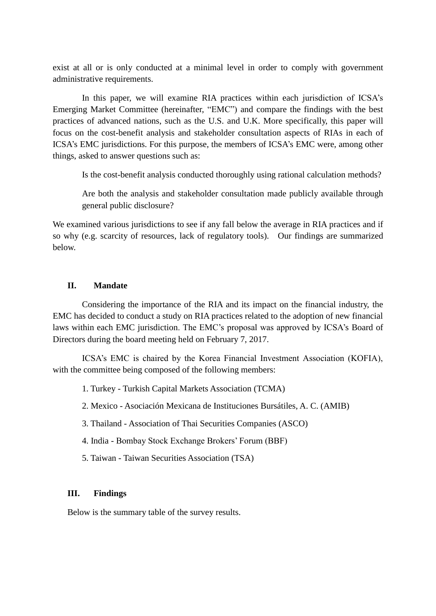exist at all or is only conducted at a minimal level in order to comply with government administrative requirements.

In this paper, we will examine RIA practices within each jurisdiction of ICSA's Emerging Market Committee (hereinafter, "EMC") and compare the findings with the best practices of advanced nations, such as the U.S. and U.K. More specifically, this paper will focus on the cost-benefit analysis and stakeholder consultation aspects of RIAs in each of ICSA's EMC jurisdictions. For this purpose, the members of ICSA's EMC were, among other things, asked to answer questions such as:

Is the cost-benefit analysis conducted thoroughly using rational calculation methods?

Are both the analysis and stakeholder consultation made publicly available through general public disclosure?

We examined various jurisdictions to see if any fall below the average in RIA practices and if so why (e.g. scarcity of resources, lack of regulatory tools). Our findings are summarized below.

## **II. Mandate**

Considering the importance of the RIA and its impact on the financial industry, the EMC has decided to conduct a study on RIA practices related to the adoption of new financial laws within each EMC jurisdiction. The EMC's proposal was approved by ICSA's Board of Directors during the board meeting held on February 7, 2017.

ICSA's EMC is chaired by the Korea Financial Investment Association (KOFIA), with the committee being composed of the following members:

- 1. Turkey Turkish Capital Markets Association (TCMA)
- 2. Mexico Asociación Mexicana de Instituciones Bursátiles, A. C. (AMIB)
- 3. Thailand Association of Thai Securities Companies (ASCO)
- 4. India Bombay Stock Exchange Brokers' Forum (BBF)
- 5. Taiwan Taiwan Securities Association (TSA)

## **III. Findings**

Below is the summary table of the survey results.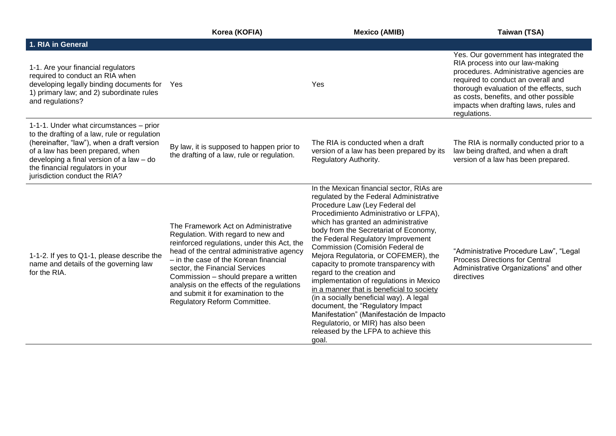|                                                                                                                                                                                                                                                                                            | Korea (KOFIA)                                                                                                                                                                                                                                                                                                                                                                                                   | <b>Mexico (AMIB)</b>                                                                                                                                                                                                                                                                                                                                                                                                                                                                                                                                                                                                                                                                                                                               | Taiwan (TSA)                                                                                                                                                                                                                                                                                              |
|--------------------------------------------------------------------------------------------------------------------------------------------------------------------------------------------------------------------------------------------------------------------------------------------|-----------------------------------------------------------------------------------------------------------------------------------------------------------------------------------------------------------------------------------------------------------------------------------------------------------------------------------------------------------------------------------------------------------------|----------------------------------------------------------------------------------------------------------------------------------------------------------------------------------------------------------------------------------------------------------------------------------------------------------------------------------------------------------------------------------------------------------------------------------------------------------------------------------------------------------------------------------------------------------------------------------------------------------------------------------------------------------------------------------------------------------------------------------------------------|-----------------------------------------------------------------------------------------------------------------------------------------------------------------------------------------------------------------------------------------------------------------------------------------------------------|
| 1. RIA in General                                                                                                                                                                                                                                                                          |                                                                                                                                                                                                                                                                                                                                                                                                                 |                                                                                                                                                                                                                                                                                                                                                                                                                                                                                                                                                                                                                                                                                                                                                    |                                                                                                                                                                                                                                                                                                           |
| 1-1. Are your financial regulators<br>required to conduct an RIA when<br>developing legally binding documents for Yes<br>1) primary law; and 2) subordinate rules<br>and regulations?                                                                                                      |                                                                                                                                                                                                                                                                                                                                                                                                                 | Yes                                                                                                                                                                                                                                                                                                                                                                                                                                                                                                                                                                                                                                                                                                                                                | Yes. Our government has integrated the<br>RIA process into our law-making<br>procedures. Administrative agencies are<br>required to conduct an overall and<br>thorough evaluation of the effects, such<br>as costs, benefits, and other possible<br>impacts when drafting laws, rules and<br>regulations. |
| 1-1-1. Under what circumstances – prior<br>to the drafting of a law, rule or regulation<br>(hereinafter, "law"), when a draft version<br>of a law has been prepared, when<br>developing a final version of a law - do<br>the financial regulators in your<br>jurisdiction conduct the RIA? | By law, it is supposed to happen prior to<br>the drafting of a law, rule or regulation.                                                                                                                                                                                                                                                                                                                         | The RIA is conducted when a draft<br>version of a law has been prepared by its<br>Regulatory Authority.                                                                                                                                                                                                                                                                                                                                                                                                                                                                                                                                                                                                                                            | The RIA is normally conducted prior to a<br>law being drafted, and when a draft<br>version of a law has been prepared.                                                                                                                                                                                    |
| 1-1-2. If yes to Q1-1, please describe the<br>name and details of the governing law<br>for the RIA.                                                                                                                                                                                        | The Framework Act on Administrative<br>Regulation. With regard to new and<br>reinforced regulations, under this Act, the<br>head of the central administrative agency<br>- in the case of the Korean financial<br>sector, the Financial Services<br>Commission - should prepare a written<br>analysis on the effects of the regulations<br>and submit it for examination to the<br>Regulatory Reform Committee. | In the Mexican financial sector, RIAs are<br>regulated by the Federal Administrative<br>Procedure Law (Ley Federal del<br>Procedimiento Administrativo or LFPA),<br>which has granted an administrative<br>body from the Secretariat of Economy,<br>the Federal Regulatory Improvement<br>Commission (Comisión Federal de<br>Mejora Regulatoria, or COFEMER), the<br>capacity to promote transparency with<br>regard to the creation and<br>implementation of regulations in Mexico<br>in a manner that is beneficial to society<br>(in a socially beneficial way). A legal<br>document, the "Regulatory Impact<br>Manifestation" (Manifestación de Impacto<br>Regulatorio, or MIR) has also been<br>released by the LFPA to achieve this<br>goal. | "Administrative Procedure Law", "Legal<br><b>Process Directions for Central</b><br>Administrative Organizations" and other<br>directives                                                                                                                                                                  |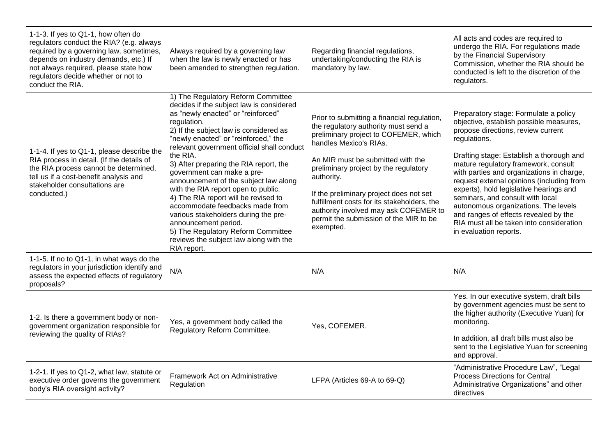| 1-1-3. If yes to Q1-1, how often do<br>regulators conduct the RIA? (e.g. always<br>required by a governing law, sometimes,<br>depends on industry demands, etc.) If<br>not always required, please state how<br>regulators decide whether or not to<br>conduct the RIA. | Always required by a governing law<br>when the law is newly enacted or has<br>been amended to strengthen regulation.                                                                                                                                                                                                                                                                                                                                                                                                                                                                                                                                                              | Regarding financial regulations,<br>undertaking/conducting the RIA is<br>mandatory by law.                                                                                                                                                                                                                                                                                                                                                   | All acts and codes are required to<br>undergo the RIA. For regulations made<br>by the Financial Supervisory<br>Commission, whether the RIA should be<br>conducted is left to the discretion of the<br>regulators.                                                                                                                                                                                                                                                                                                                                          |
|-------------------------------------------------------------------------------------------------------------------------------------------------------------------------------------------------------------------------------------------------------------------------|-----------------------------------------------------------------------------------------------------------------------------------------------------------------------------------------------------------------------------------------------------------------------------------------------------------------------------------------------------------------------------------------------------------------------------------------------------------------------------------------------------------------------------------------------------------------------------------------------------------------------------------------------------------------------------------|----------------------------------------------------------------------------------------------------------------------------------------------------------------------------------------------------------------------------------------------------------------------------------------------------------------------------------------------------------------------------------------------------------------------------------------------|------------------------------------------------------------------------------------------------------------------------------------------------------------------------------------------------------------------------------------------------------------------------------------------------------------------------------------------------------------------------------------------------------------------------------------------------------------------------------------------------------------------------------------------------------------|
| 1-1-4. If yes to Q1-1, please describe the<br>RIA process in detail. (If the details of<br>the RIA process cannot be determined,<br>tell us if a cost-benefit analysis and<br>stakeholder consultations are<br>conducted.)                                              | 1) The Regulatory Reform Committee<br>decides if the subject law is considered<br>as "newly enacted" or "reinforced"<br>regulation.<br>2) If the subject law is considered as<br>"newly enacted" or "reinforced," the<br>relevant government official shall conduct<br>the RIA.<br>3) After preparing the RIA report, the<br>government can make a pre-<br>announcement of the subject law along<br>with the RIA report open to public.<br>4) The RIA report will be revised to<br>accommodate feedbacks made from<br>various stakeholders during the pre-<br>announcement period.<br>5) The Regulatory Reform Committee<br>reviews the subject law along with the<br>RIA report. | Prior to submitting a financial regulation,<br>the regulatory authority must send a<br>preliminary project to COFEMER, which<br>handles Mexico's RIAs.<br>An MIR must be submitted with the<br>preliminary project by the regulatory<br>authority.<br>If the preliminary project does not set<br>fulfillment costs for its stakeholders, the<br>authority involved may ask COFEMER to<br>permit the submission of the MIR to be<br>exempted. | Preparatory stage: Formulate a policy<br>objective, establish possible measures,<br>propose directions, review current<br>regulations.<br>Drafting stage: Establish a thorough and<br>mature regulatory framework, consult<br>with parties and organizations in charge,<br>request external opinions (including from<br>experts), hold legislative hearings and<br>seminars, and consult with local<br>autonomous organizations. The levels<br>and ranges of effects revealed by the<br>RIA must all be taken into consideration<br>in evaluation reports. |
| 1-1-5. If no to Q1-1, in what ways do the<br>regulators in your jurisdiction identify and<br>assess the expected effects of regulatory<br>proposals?                                                                                                                    | N/A                                                                                                                                                                                                                                                                                                                                                                                                                                                                                                                                                                                                                                                                               | N/A                                                                                                                                                                                                                                                                                                                                                                                                                                          | N/A                                                                                                                                                                                                                                                                                                                                                                                                                                                                                                                                                        |
| 1-2. Is there a government body or non-<br>government organization responsible for<br>reviewing the quality of RIAs?                                                                                                                                                    | Yes, a government body called the<br>Regulatory Reform Committee.                                                                                                                                                                                                                                                                                                                                                                                                                                                                                                                                                                                                                 | Yes, COFEMER.                                                                                                                                                                                                                                                                                                                                                                                                                                | Yes. In our executive system, draft bills<br>by government agencies must be sent to<br>the higher authority (Executive Yuan) for<br>monitoring.<br>In addition, all draft bills must also be<br>sent to the Legislative Yuan for screening<br>and approval.                                                                                                                                                                                                                                                                                                |
| 1-2-1. If yes to Q1-2, what law, statute or<br>executive order governs the government<br>body's RIA oversight activity?                                                                                                                                                 | Framework Act on Administrative<br>Regulation                                                                                                                                                                                                                                                                                                                                                                                                                                                                                                                                                                                                                                     | LFPA (Articles 69-A to 69-Q)                                                                                                                                                                                                                                                                                                                                                                                                                 | "Administrative Procedure Law", "Legal<br><b>Process Directions for Central</b><br>Administrative Organizations" and other<br>directives                                                                                                                                                                                                                                                                                                                                                                                                                   |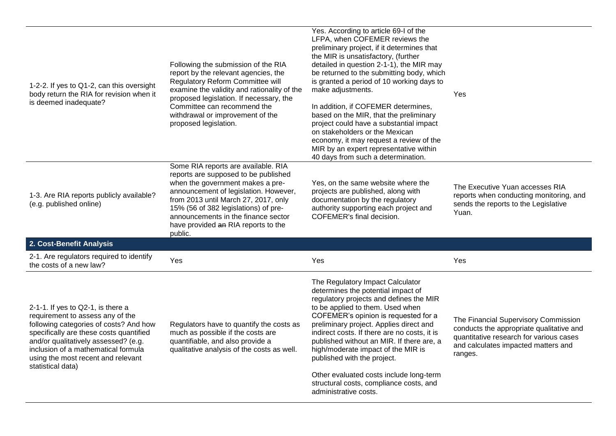| 1-2-2. If yes to Q1-2, can this oversight<br>body return the RIA for revision when it<br>is deemed inadequate?                                                                                                                                                                                       | Following the submission of the RIA<br>report by the relevant agencies, the<br>Regulatory Reform Committee will<br>examine the validity and rationality of the<br>proposed legislation. If necessary, the<br>Committee can recommend the<br>withdrawal or improvement of the<br>proposed legislation.                             | Yes. According to article 69-I of the<br>LFPA, when COFEMER reviews the<br>preliminary project, if it determines that<br>the MIR is unsatisfactory, (further<br>detailed in question 2-1-1), the MIR may<br>be returned to the submitting body, which<br>is granted a period of 10 working days to<br>make adjustments.<br>In addition, if COFEMER determines,<br>based on the MIR, that the preliminary<br>project could have a substantial impact<br>on stakeholders or the Mexican<br>economy, it may request a review of the<br>MIR by an expert representative within<br>40 days from such a determination. | Yes                                                                                                                                                                           |
|------------------------------------------------------------------------------------------------------------------------------------------------------------------------------------------------------------------------------------------------------------------------------------------------------|-----------------------------------------------------------------------------------------------------------------------------------------------------------------------------------------------------------------------------------------------------------------------------------------------------------------------------------|------------------------------------------------------------------------------------------------------------------------------------------------------------------------------------------------------------------------------------------------------------------------------------------------------------------------------------------------------------------------------------------------------------------------------------------------------------------------------------------------------------------------------------------------------------------------------------------------------------------|-------------------------------------------------------------------------------------------------------------------------------------------------------------------------------|
| 1-3. Are RIA reports publicly available?<br>(e.g. published online)                                                                                                                                                                                                                                  | Some RIA reports are available. RIA<br>reports are supposed to be published<br>when the government makes a pre-<br>announcement of legislation. However,<br>from 2013 until March 27, 2017, only<br>15% (56 of 382 legislations) of pre-<br>announcements in the finance sector<br>have provided an RIA reports to the<br>public. | Yes, on the same website where the<br>projects are published, along with<br>documentation by the regulatory<br>authority supporting each project and<br>COFEMER's final decision.                                                                                                                                                                                                                                                                                                                                                                                                                                | The Executive Yuan accesses RIA<br>reports when conducting monitoring, and<br>sends the reports to the Legislative<br>Yuan.                                                   |
| 2. Cost-Benefit Analysis                                                                                                                                                                                                                                                                             |                                                                                                                                                                                                                                                                                                                                   |                                                                                                                                                                                                                                                                                                                                                                                                                                                                                                                                                                                                                  |                                                                                                                                                                               |
| 2-1. Are regulators required to identify<br>the costs of a new law?                                                                                                                                                                                                                                  | Yes                                                                                                                                                                                                                                                                                                                               | Yes                                                                                                                                                                                                                                                                                                                                                                                                                                                                                                                                                                                                              | Yes                                                                                                                                                                           |
| 2-1-1. If yes to Q2-1, is there a<br>requirement to assess any of the<br>following categories of costs? And how<br>specifically are these costs quantified<br>and/or qualitatively assessed? (e.g.<br>inclusion of a mathematical formula<br>using the most recent and relevant<br>statistical data) | Regulators have to quantify the costs as<br>much as possible if the costs are<br>quantifiable, and also provide a<br>qualitative analysis of the costs as well.                                                                                                                                                                   | The Regulatory Impact Calculator<br>determines the potential impact of<br>regulatory projects and defines the MIR<br>to be applied to them. Used when<br>COFEMER's opinion is requested for a<br>preliminary project. Applies direct and<br>indirect costs. If there are no costs, it is<br>published without an MIR. If there are, a<br>high/moderate impact of the MIR is<br>published with the project.<br>Other evaluated costs include long-term<br>structural costs, compliance costs, and<br>administrative costs.                                                                                        | The Financial Supervisory Commission<br>conducts the appropriate qualitative and<br>quantitative research for various cases<br>and calculates impacted matters and<br>ranges. |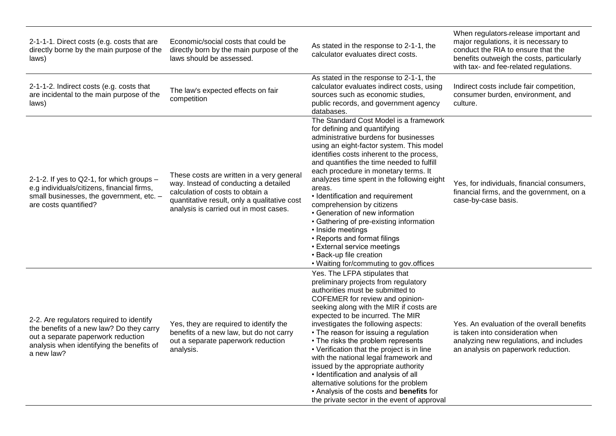| 2-1-1-1. Direct costs (e.g. costs that are<br>directly borne by the main purpose of the<br>laws)                                                                                      | Economic/social costs that could be<br>directly born by the main purpose of the<br>laws should be assessed.                                                                                                      | As stated in the response to 2-1-1, the<br>calculator evaluates direct costs.                                                                                                                                                                                                                                                                                                                                                                                                                                                                                                                                                                                 | When regulators-release important and<br>major regulations, it is necessary to<br>conduct the RIA to ensure that the<br>benefits outweigh the costs, particularly<br>with tax- and fee-related regulations. |
|---------------------------------------------------------------------------------------------------------------------------------------------------------------------------------------|------------------------------------------------------------------------------------------------------------------------------------------------------------------------------------------------------------------|---------------------------------------------------------------------------------------------------------------------------------------------------------------------------------------------------------------------------------------------------------------------------------------------------------------------------------------------------------------------------------------------------------------------------------------------------------------------------------------------------------------------------------------------------------------------------------------------------------------------------------------------------------------|-------------------------------------------------------------------------------------------------------------------------------------------------------------------------------------------------------------|
| 2-1-1-2. Indirect costs (e.g. costs that<br>are incidental to the main purpose of the<br>laws)                                                                                        | The law's expected effects on fair<br>competition                                                                                                                                                                | As stated in the response to 2-1-1, the<br>calculator evaluates indirect costs, using<br>sources such as economic studies,<br>public records, and government agency<br>databases.                                                                                                                                                                                                                                                                                                                                                                                                                                                                             | Indirect costs include fair competition,<br>consumer burden, environment, and<br>culture.                                                                                                                   |
| 2-1-2. If yes to Q2-1, for which groups -<br>e.g individuals/citizens, financial firms,<br>small businesses, the government, etc. -<br>are costs quantified?                          | These costs are written in a very general<br>way. Instead of conducting a detailed<br>calculation of costs to obtain a<br>quantitative result, only a qualitative cost<br>analysis is carried out in most cases. | The Standard Cost Model is a framework<br>for defining and quantifying<br>administrative burdens for businesses<br>using an eight-factor system. This model<br>identifies costs inherent to the process,<br>and quantifies the time needed to fulfill<br>each procedure in monetary terms. It<br>analyzes time spent in the following eight<br>areas.<br>• Identification and requirement<br>comprehension by citizens<br>• Generation of new information<br>• Gathering of pre-existing information<br>• Inside meetings<br>• Reports and format filings<br>• External service meetings<br>• Back-up file creation<br>• Waiting for/commuting to gov.offices | Yes, for individuals, financial consumers,<br>financial firms, and the government, on a<br>case-by-case basis.                                                                                              |
| 2-2. Are regulators required to identify<br>the benefits of a new law? Do they carry<br>out a separate paperwork reduction<br>analysis when identifying the benefits of<br>a new law? | Yes, they are required to identify the<br>benefits of a new law, but do not carry<br>out a separate paperwork reduction<br>analysis.                                                                             | Yes. The LFPA stipulates that<br>preliminary projects from regulatory<br>authorities must be submitted to<br>COFEMER for review and opinion-<br>seeking along with the MIR if costs are<br>expected to be incurred. The MIR<br>investigates the following aspects:<br>• The reason for issuing a regulation<br>• The risks the problem represents<br>• Verification that the project is in line<br>with the national legal framework and<br>issued by the appropriate authority<br>• Identification and analysis of all<br>alternative solutions for the problem<br>. Analysis of the costs and benefits for<br>the private sector in the event of approval   | Yes. An evaluation of the overall benefits<br>is taken into consideration when<br>analyzing new regulations, and includes<br>an analysis on paperwork reduction.                                            |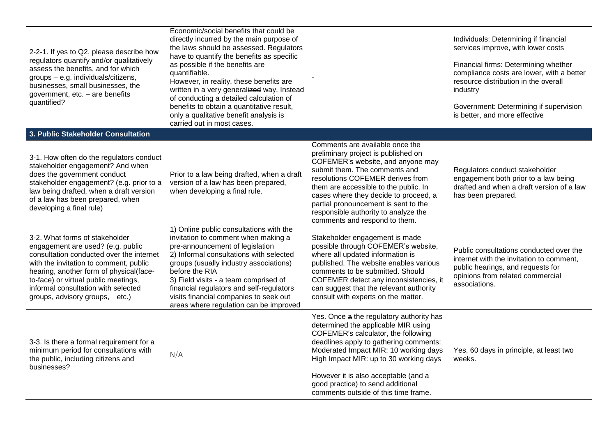2-2-1. If yes to Q2, please describe how regulators quantify and/or qualitatively assess the benefits, and for which groups – e.g. individuals/citizens, businesses, small businesses, the government, etc. – are benefits quantified?

**3. Public Stakeholder Consultation**

Economic/social benefits that could be directly incurred by the main purpose of the laws should be assessed. Regulators have to quantify the benefits as specific as possible if the benefits are quantifiable. However, in reality, these benefits are

written in a very generalized way. Instead of conducting a detailed calculation of benefits to obtain a quantitative result, only a qualitative benefit analysis is carried out in most cases.

#### Individuals: Determining if financial services improve, with lower costs

Financial firms: Determining whether compliance costs are lower, with a better resource distribution in the overall industry

Government: Determining if supervision is better, and more effective

| J. FUDIIC STANGHORIGI CONSULTATION                                                                                                                                                                                                                                                                                    |                                                                                                                                                                                                                                                                                                                                                                                                   |                                                                                                                                                                                                                                                                                                                                                                                     |                                                                                                                                                                               |
|-----------------------------------------------------------------------------------------------------------------------------------------------------------------------------------------------------------------------------------------------------------------------------------------------------------------------|---------------------------------------------------------------------------------------------------------------------------------------------------------------------------------------------------------------------------------------------------------------------------------------------------------------------------------------------------------------------------------------------------|-------------------------------------------------------------------------------------------------------------------------------------------------------------------------------------------------------------------------------------------------------------------------------------------------------------------------------------------------------------------------------------|-------------------------------------------------------------------------------------------------------------------------------------------------------------------------------|
| 3-1. How often do the regulators conduct<br>stakeholder engagement? And when<br>does the government conduct<br>stakeholder engagement? (e.g. prior to a<br>law being drafted, when a draft version<br>of a law has been prepared, when<br>developing a final rule)                                                    | Prior to a law being drafted, when a draft<br>version of a law has been prepared,<br>when developing a final rule.                                                                                                                                                                                                                                                                                | Comments are available once the<br>preliminary project is published on<br>COFEMER's website, and anyone may<br>submit them. The comments and<br>resolutions COFEMER derives from<br>them are accessible to the public. In<br>cases where they decide to proceed, a<br>partial pronouncement is sent to the<br>responsible authority to analyze the<br>comments and respond to them. | Regulators conduct stakeholder<br>engagement both prior to a law being<br>drafted and when a draft version of a law<br>has been prepared.                                     |
| 3-2. What forms of stakeholder<br>engagement are used? (e.g. public<br>consultation conducted over the internet<br>with the invitation to comment, public<br>hearing, another form of physical(face-<br>to-face) or virtual public meetings,<br>informal consultation with selected<br>groups, advisory groups, etc.) | 1) Online public consultations with the<br>invitation to comment when making a<br>pre-announcement of legislation<br>2) Informal consultations with selected<br>groups (usually industry associations)<br>before the RIA<br>3) Field visits - a team comprised of<br>financial regulators and self-regulators<br>visits financial companies to seek out<br>areas where regulation can be improved | Stakeholder engagement is made<br>possible through COFEMER's website,<br>where all updated information is<br>published. The website enables various<br>comments to be submitted. Should<br>COFEMER detect any inconsistencies, it<br>can suggest that the relevant authority<br>consult with experts on the matter.                                                                 | Public consultations conducted over the<br>internet with the invitation to comment,<br>public hearings, and requests for<br>opinions from related commercial<br>associations. |
| 3-3. Is there a formal requirement for a<br>minimum period for consultations with<br>the public, including citizens and<br>businesses?                                                                                                                                                                                | N/A                                                                                                                                                                                                                                                                                                                                                                                               | Yes. Once a the regulatory authority has<br>determined the applicable MIR using<br>COFEMER's calculator, the following<br>deadlines apply to gathering comments:<br>Moderated Impact MIR: 10 working days<br>High Impact MIR: up to 30 working days<br>However it is also acceptable (and a<br>good practice) to send additional<br>comments outside of this time frame.            | Yes, 60 days in principle, at least two<br>weeks.                                                                                                                             |

-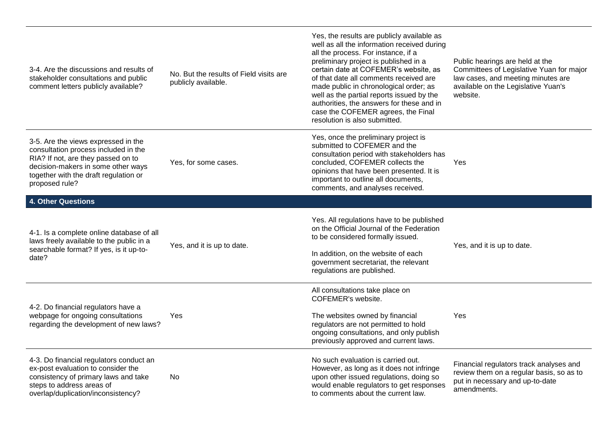| 3-4. Are the discussions and results of<br>stakeholder consultations and public<br>comment letters publicly available?                                                                                             | No. But the results of Field visits are<br>publicly available. | Yes, the results are publicly available as<br>well as all the information received during<br>all the process. For instance, if a<br>preliminary project is published in a<br>certain date at COFEMER's website, as<br>of that date all comments received are<br>made public in chronological order; as<br>well as the partial reports issued by the<br>authorities, the answers for these and in<br>case the COFEMER agrees, the Final<br>resolution is also submitted. | Public hearings are held at the<br>Committees of Legislative Yuan for major<br>law cases, and meeting minutes are<br>available on the Legislative Yuan's<br>website. |
|--------------------------------------------------------------------------------------------------------------------------------------------------------------------------------------------------------------------|----------------------------------------------------------------|-------------------------------------------------------------------------------------------------------------------------------------------------------------------------------------------------------------------------------------------------------------------------------------------------------------------------------------------------------------------------------------------------------------------------------------------------------------------------|----------------------------------------------------------------------------------------------------------------------------------------------------------------------|
| 3-5. Are the views expressed in the<br>consultation process included in the<br>RIA? If not, are they passed on to<br>decision-makers in some other ways<br>together with the draft regulation or<br>proposed rule? | Yes, for some cases.                                           | Yes, once the preliminary project is<br>submitted to COFEMER and the<br>consultation period with stakeholders has<br>concluded, COFEMER collects the<br>opinions that have been presented. It is<br>important to outline all documents,<br>comments, and analyses received.                                                                                                                                                                                             | Yes                                                                                                                                                                  |
| <b>4. Other Questions</b>                                                                                                                                                                                          |                                                                |                                                                                                                                                                                                                                                                                                                                                                                                                                                                         |                                                                                                                                                                      |
| 4-1. Is a complete online database of all<br>laws freely available to the public in a<br>searchable format? If yes, is it up-to-<br>date?                                                                          | Yes, and it is up to date.                                     | Yes. All regulations have to be published<br>on the Official Journal of the Federation<br>to be considered formally issued.<br>In addition, on the website of each<br>government secretariat, the relevant<br>regulations are published.                                                                                                                                                                                                                                | Yes, and it is up to date.                                                                                                                                           |
| 4-2. Do financial regulators have a<br>webpage for ongoing consultations<br>regarding the development of new laws?                                                                                                 | Yes                                                            | All consultations take place on<br><b>COFEMER's website.</b><br>The websites owned by financial<br>regulators are not permitted to hold<br>ongoing consultations, and only publish<br>previously approved and current laws.                                                                                                                                                                                                                                             | Yes                                                                                                                                                                  |
| 4-3. Do financial regulators conduct an<br>ex-post evaluation to consider the<br>consistency of primary laws and take<br>steps to address areas of<br>overlap/duplication/inconsistency?                           | No                                                             | No such evaluation is carried out.<br>However, as long as it does not infringe<br>upon other issued regulations, doing so<br>would enable regulators to get responses<br>to comments about the current law.                                                                                                                                                                                                                                                             | Financial regulators track analyses and<br>review them on a regular basis, so as to<br>put in necessary and up-to-date<br>amendments.                                |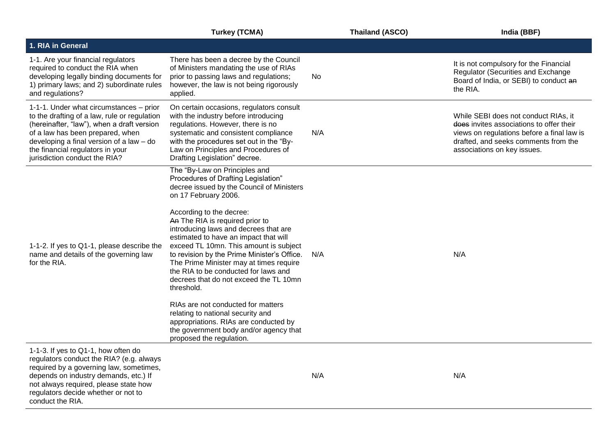|                                                                                                                                                                                                                                                                                            | <b>Turkey (TCMA)</b>                                                                                                                                                                                                                                                                                                                                                                                                                                                                                                                                                                                                                                                                                                     | <b>Thailand (ASCO)</b> | India (BBF)                                                                                                                                                                                           |
|--------------------------------------------------------------------------------------------------------------------------------------------------------------------------------------------------------------------------------------------------------------------------------------------|--------------------------------------------------------------------------------------------------------------------------------------------------------------------------------------------------------------------------------------------------------------------------------------------------------------------------------------------------------------------------------------------------------------------------------------------------------------------------------------------------------------------------------------------------------------------------------------------------------------------------------------------------------------------------------------------------------------------------|------------------------|-------------------------------------------------------------------------------------------------------------------------------------------------------------------------------------------------------|
| 1. RIA in General                                                                                                                                                                                                                                                                          |                                                                                                                                                                                                                                                                                                                                                                                                                                                                                                                                                                                                                                                                                                                          |                        |                                                                                                                                                                                                       |
| 1-1. Are your financial regulators<br>required to conduct the RIA when<br>developing legally binding documents for<br>1) primary laws; and 2) subordinate rules<br>and regulations?                                                                                                        | There has been a decree by the Council<br>of Ministers mandating the use of RIAs<br>prior to passing laws and regulations;<br>however, the law is not being rigorously<br>applied.                                                                                                                                                                                                                                                                                                                                                                                                                                                                                                                                       | No                     | It is not compulsory for the Financial<br>Regulator (Securities and Exchange<br>Board of India, or SEBI) to conduct an<br>the RIA.                                                                    |
| 1-1-1. Under what circumstances - prior<br>to the drafting of a law, rule or regulation<br>(hereinafter, "law"), when a draft version<br>of a law has been prepared, when<br>developing a final version of a law - do<br>the financial regulators in your<br>jurisdiction conduct the RIA? | On certain occasions, regulators consult<br>with the industry before introducing<br>regulations. However, there is no<br>systematic and consistent compliance<br>with the procedures set out in the "By-<br>Law on Principles and Procedures of<br>Drafting Legislation" decree.                                                                                                                                                                                                                                                                                                                                                                                                                                         | N/A                    | While SEBI does not conduct RIAs, it<br>does invites associations to offer their<br>views on regulations before a final law is<br>drafted, and seeks comments from the<br>associations on key issues. |
| 1-1-2. If yes to Q1-1, please describe the<br>name and details of the governing law<br>for the RIA.                                                                                                                                                                                        | The "By-Law on Principles and<br>Procedures of Drafting Legislation"<br>decree issued by the Council of Ministers<br>on 17 February 2006.<br>According to the decree:<br>An The RIA is required prior to<br>introducing laws and decrees that are<br>estimated to have an impact that will<br>exceed TL 10mn. This amount is subject<br>to revision by the Prime Minister's Office.<br>The Prime Minister may at times require<br>the RIA to be conducted for laws and<br>decrees that do not exceed the TL 10mn<br>threshold.<br>RIAs are not conducted for matters<br>relating to national security and<br>appropriations. RIAs are conducted by<br>the government body and/or agency that<br>proposed the regulation. | N/A                    | N/A                                                                                                                                                                                                   |
| 1-1-3. If yes to Q1-1, how often do<br>regulators conduct the RIA? (e.g. always<br>required by a governing law, sometimes,<br>depends on industry demands, etc.) If<br>not always required, please state how<br>regulators decide whether or not to<br>conduct the RIA.                    |                                                                                                                                                                                                                                                                                                                                                                                                                                                                                                                                                                                                                                                                                                                          | N/A                    | N/A                                                                                                                                                                                                   |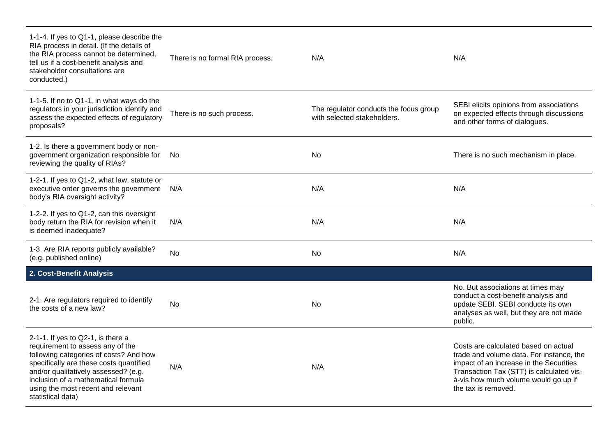| 1-1-4. If yes to Q1-1, please describe the<br>RIA process in detail. (If the details of<br>the RIA process cannot be determined,<br>tell us if a cost-benefit analysis and<br>stakeholder consultations are<br>conducted.)                                                                           | There is no formal RIA process. | N/A                                                                   | N/A                                                                                                                                                                                                                                    |
|------------------------------------------------------------------------------------------------------------------------------------------------------------------------------------------------------------------------------------------------------------------------------------------------------|---------------------------------|-----------------------------------------------------------------------|----------------------------------------------------------------------------------------------------------------------------------------------------------------------------------------------------------------------------------------|
| 1-1-5. If no to Q1-1, in what ways do the<br>regulators in your jurisdiction identify and<br>assess the expected effects of regulatory<br>proposals?                                                                                                                                                 | There is no such process.       | The regulator conducts the focus group<br>with selected stakeholders. | SEBI elicits opinions from associations<br>on expected effects through discussions<br>and other forms of dialogues.                                                                                                                    |
| 1-2. Is there a government body or non-<br>government organization responsible for<br>reviewing the quality of RIAs?                                                                                                                                                                                 | No.                             | No                                                                    | There is no such mechanism in place.                                                                                                                                                                                                   |
| 1-2-1. If yes to Q1-2, what law, statute or<br>executive order governs the government<br>body's RIA oversight activity?                                                                                                                                                                              | N/A                             | N/A                                                                   | N/A                                                                                                                                                                                                                                    |
| 1-2-2. If yes to Q1-2, can this oversight<br>body return the RIA for revision when it<br>is deemed inadequate?                                                                                                                                                                                       | N/A                             | N/A                                                                   | N/A                                                                                                                                                                                                                                    |
| 1-3. Are RIA reports publicly available?<br>(e.g. published online)                                                                                                                                                                                                                                  | <b>No</b>                       | No                                                                    | N/A                                                                                                                                                                                                                                    |
| 2. Cost-Benefit Analysis                                                                                                                                                                                                                                                                             |                                 |                                                                       |                                                                                                                                                                                                                                        |
| 2-1. Are regulators required to identify<br>the costs of a new law?                                                                                                                                                                                                                                  | <b>No</b>                       | No                                                                    | No. But associations at times may<br>conduct a cost-benefit analysis and<br>update SEBI. SEBI conducts its own<br>analyses as well, but they are not made<br>public.                                                                   |
| 2-1-1. If yes to Q2-1, is there a<br>requirement to assess any of the<br>following categories of costs? And how<br>specifically are these costs quantified<br>and/or qualitatively assessed? (e.g.<br>inclusion of a mathematical formula<br>using the most recent and relevant<br>statistical data) | N/A                             | N/A                                                                   | Costs are calculated based on actual<br>trade and volume data. For instance, the<br>impact of an increase in the Securities<br>Transaction Tax (STT) is calculated vis-<br>à-vis how much volume would go up if<br>the tax is removed. |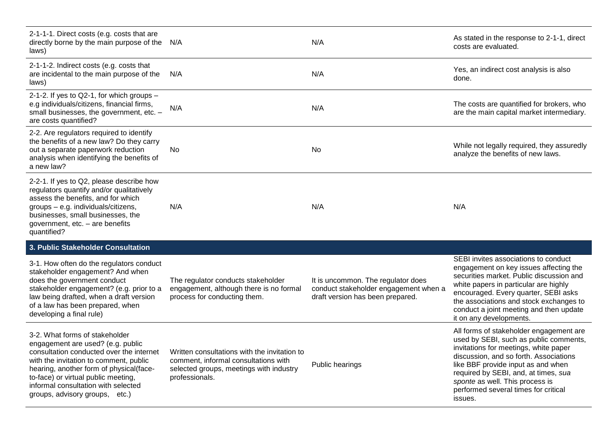| 2-1-1-1. Direct costs (e.g. costs that are<br>directly borne by the main purpose of the<br>laws)                                                                                                                                                                                                                     | N/A                                                                                                                                               | N/A                                                                                                             | As stated in the response to 2-1-1, direct<br>costs are evaluated.                                                                                                                                                                                                                                                                       |
|----------------------------------------------------------------------------------------------------------------------------------------------------------------------------------------------------------------------------------------------------------------------------------------------------------------------|---------------------------------------------------------------------------------------------------------------------------------------------------|-----------------------------------------------------------------------------------------------------------------|------------------------------------------------------------------------------------------------------------------------------------------------------------------------------------------------------------------------------------------------------------------------------------------------------------------------------------------|
| 2-1-1-2. Indirect costs (e.g. costs that<br>are incidental to the main purpose of the<br>laws)                                                                                                                                                                                                                       | N/A                                                                                                                                               | N/A                                                                                                             | Yes, an indirect cost analysis is also<br>done.                                                                                                                                                                                                                                                                                          |
| 2-1-2. If yes to Q2-1, for which groups -<br>e.g individuals/citizens, financial firms,<br>small businesses, the government, etc. -<br>are costs quantified?                                                                                                                                                         | N/A                                                                                                                                               | N/A                                                                                                             | The costs are quantified for brokers, who<br>are the main capital market intermediary.                                                                                                                                                                                                                                                   |
| 2-2. Are regulators required to identify<br>the benefits of a new law? Do they carry<br>out a separate paperwork reduction<br>analysis when identifying the benefits of<br>a new law?                                                                                                                                | No                                                                                                                                                | No                                                                                                              | While not legally required, they assuredly<br>analyze the benefits of new laws.                                                                                                                                                                                                                                                          |
| 2-2-1. If yes to Q2, please describe how<br>regulators quantify and/or qualitatively<br>assess the benefits, and for which<br>groups - e.g. individuals/citizens,<br>businesses, small businesses, the<br>government, etc. - are benefits<br>quantified?                                                             | N/A                                                                                                                                               | N/A                                                                                                             | N/A                                                                                                                                                                                                                                                                                                                                      |
| 3. Public Stakeholder Consultation                                                                                                                                                                                                                                                                                   |                                                                                                                                                   |                                                                                                                 |                                                                                                                                                                                                                                                                                                                                          |
| 3-1. How often do the regulators conduct<br>stakeholder engagement? And when<br>does the government conduct<br>stakeholder engagement? (e.g. prior to a<br>law being drafted, when a draft version<br>of a law has been prepared, when<br>developing a final rule)                                                   | The regulator conducts stakeholder<br>engagement, although there is no formal<br>process for conducting them.                                     | It is uncommon. The regulator does<br>conduct stakeholder engagement when a<br>draft version has been prepared. | SEBI invites associations to conduct<br>engagement on key issues affecting the<br>securities market. Public discussion and<br>white papers in particular are highly<br>encouraged. Every quarter, SEBI asks<br>the associations and stock exchanges to<br>conduct a joint meeting and then update<br>it on any developments.             |
| 3-2. What forms of stakeholder<br>engagement are used? (e.g. public<br>consultation conducted over the internet<br>with the invitation to comment, public<br>hearing, another form of physical(face-<br>to-face) or virtual public meeting,<br>informal consultation with selected<br>groups, advisory groups, etc.) | Written consultations with the invitation to<br>comment, informal consultations with<br>selected groups, meetings with industry<br>professionals. | Public hearings                                                                                                 | All forms of stakeholder engagement are<br>used by SEBI, such as public comments,<br>invitations for meetings, white paper<br>discussion, and so forth. Associations<br>like BBF provide input as and when<br>required by SEBI, and, at times, sua<br>sponte as well. This process is<br>performed several times for critical<br>issues. |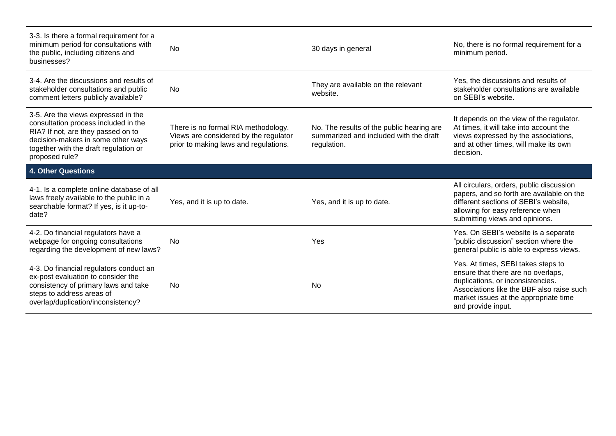| 3-3. Is there a formal requirement for a<br>minimum period for consultations with<br>the public, including citizens and<br>businesses?                                                                             | <b>No</b>                                                                                                             | 30 days in general                                                                                 | No, there is no formal requirement for a<br>minimum period.                                                                                                                                                               |
|--------------------------------------------------------------------------------------------------------------------------------------------------------------------------------------------------------------------|-----------------------------------------------------------------------------------------------------------------------|----------------------------------------------------------------------------------------------------|---------------------------------------------------------------------------------------------------------------------------------------------------------------------------------------------------------------------------|
| 3-4. Are the discussions and results of<br>stakeholder consultations and public<br>comment letters publicly available?                                                                                             | No.                                                                                                                   | They are available on the relevant<br>website.                                                     | Yes, the discussions and results of<br>stakeholder consultations are available<br>on SEBI's website.                                                                                                                      |
| 3-5. Are the views expressed in the<br>consultation process included in the<br>RIA? If not, are they passed on to<br>decision-makers in some other ways<br>together with the draft regulation or<br>proposed rule? | There is no formal RIA methodology.<br>Views are considered by the regulator<br>prior to making laws and regulations. | No. The results of the public hearing are<br>summarized and included with the draft<br>regulation. | It depends on the view of the regulator.<br>At times, it will take into account the<br>views expressed by the associations,<br>and at other times, will make its own<br>decision.                                         |
| <b>4. Other Questions</b>                                                                                                                                                                                          |                                                                                                                       |                                                                                                    |                                                                                                                                                                                                                           |
| 4-1. Is a complete online database of all<br>laws freely available to the public in a<br>searchable format? If yes, is it up-to-<br>date?                                                                          | Yes, and it is up to date.                                                                                            | Yes, and it is up to date.                                                                         | All circulars, orders, public discussion<br>papers, and so forth are available on the<br>different sections of SEBI's website,<br>allowing for easy reference when<br>submitting views and opinions.                      |
| 4-2. Do financial regulators have a<br>webpage for ongoing consultations<br>regarding the development of new laws?                                                                                                 | <b>No</b>                                                                                                             | Yes                                                                                                | Yes. On SEBI's website is a separate<br>"public discussion" section where the<br>general public is able to express views.                                                                                                 |
| 4-3. Do financial regulators conduct an<br>ex-post evaluation to consider the<br>consistency of primary laws and take<br>steps to address areas of<br>overlap/duplication/inconsistency?                           | <b>No</b>                                                                                                             | <b>No</b>                                                                                          | Yes. At times, SEBI takes steps to<br>ensure that there are no overlaps,<br>duplications, or inconsistencies.<br>Associations like the BBF also raise such<br>market issues at the appropriate time<br>and provide input. |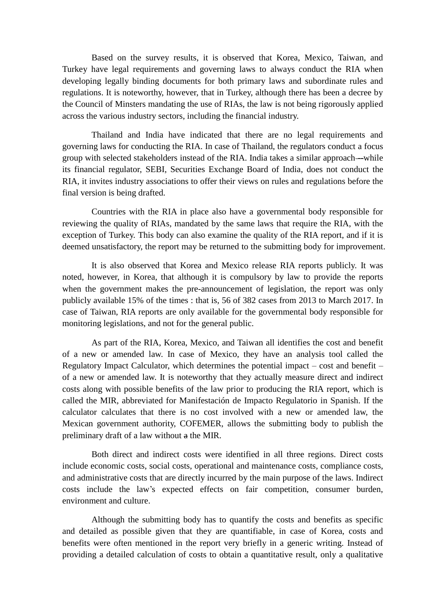Based on the survey results, it is observed that Korea, Mexico, Taiwan, and Turkey have legal requirements and governing laws to always conduct the RIA when developing legally binding documents for both primary laws and subordinate rules and regulations. It is noteworthy, however, that in Turkey, although there has been a decree by the Council of Minsters mandating the use of RIAs, the law is not being rigorously applied across the various industry sectors, including the financial industry.

Thailand and India have indicated that there are no legal requirements and governing laws for conducting the RIA. In case of Thailand, the regulators conduct a focus group with selected stakeholders instead of the RIA. India takes a similar approach --while its financial regulator, SEBI, Securities Exchange Board of India, does not conduct the RIA, it invites industry associations to offer their views on rules and regulations before the final version is being drafted.

Countries with the RIA in place also have a governmental body responsible for reviewing the quality of RIAs, mandated by the same laws that require the RIA, with the exception of Turkey. This body can also examine the quality of the RIA report, and if it is deemed unsatisfactory, the report may be returned to the submitting body for improvement.

It is also observed that Korea and Mexico release RIA reports publicly. It was noted, however, in Korea, that although it is compulsory by law to provide the reports when the government makes the pre-announcement of legislation, the report was only publicly available 15% of the times : that is, 56 of 382 cases from 2013 to March 2017. In case of Taiwan, RIA reports are only available for the governmental body responsible for monitoring legislations, and not for the general public.

As part of the RIA, Korea, Mexico, and Taiwan all identifies the cost and benefit of a new or amended law. In case of Mexico, they have an analysis tool called the Regulatory Impact Calculator, which determines the potential impact – cost and benefit – of a new or amended law. It is noteworthy that they actually measure direct and indirect costs along with possible benefits of the law prior to producing the RIA report, which is called the MIR, abbreviated for Manifestación de Impacto Regulatorio in Spanish. If the calculator calculates that there is no cost involved with a new or amended law, the Mexican government authority, COFEMER, allows the submitting body to publish the preliminary draft of a law without a the MIR.

Both direct and indirect costs were identified in all three regions. Direct costs include economic costs, social costs, operational and maintenance costs, compliance costs, and administrative costs that are directly incurred by the main purpose of the laws. Indirect costs include the law's expected effects on fair competition, consumer burden, environment and culture.

Although the submitting body has to quantify the costs and benefits as specific and detailed as possible given that they are quantifiable, in case of Korea, costs and benefits were often mentioned in the report very briefly in a generic writing. Instead of providing a detailed calculation of costs to obtain a quantitative result, only a qualitative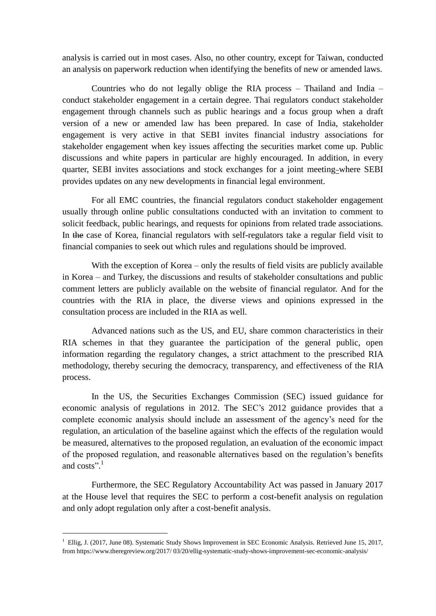analysis is carried out in most cases. Also, no other country, except for Taiwan, conducted an analysis on paperwork reduction when identifying the benefits of new or amended laws.

Countries who do not legally oblige the RIA process – Thailand and India – conduct stakeholder engagement in a certain degree. Thai regulators conduct stakeholder engagement through channels such as public hearings and a focus group when a draft version of a new or amended law has been prepared. In case of India, stakeholder engagement is very active in that SEBI invites financial industry associations for stakeholder engagement when key issues affecting the securities market come up. Public discussions and white papers in particular are highly encouraged. In addition, in every quarter, SEBI invites associations and stock exchanges for a joint meeting where SEBI provides updates on any new developments in financial legal environment.

For all EMC countries, the financial regulators conduct stakeholder engagement usually through online public consultations conducted with an invitation to comment to solicit feedback, public hearings, and requests for opinions from related trade associations. In the case of Korea, financial regulators with self-regulators take a regular field visit to financial companies to seek out which rules and regulations should be improved.

With the exception of Korea – only the results of field visits are publicly available in Korea – and Turkey, the discussions and results of stakeholder consultations and public comment letters are publicly available on the website of financial regulator. And for the countries with the RIA in place, the diverse views and opinions expressed in the consultation process are included in the RIA as well.

Advanced nations such as the US, and EU, share common characteristics in their RIA schemes in that they guarantee the participation of the general public, open information regarding the regulatory changes, a strict attachment to the prescribed RIA methodology, thereby securing the democracy, transparency, and effectiveness of the RIA process.

In the US, the Securities Exchanges Commission (SEC) issued guidance for economic analysis of regulations in 2012. The SEC's 2012 guidance provides that a complete economic analysis should include an assessment of the agency's need for the regulation, an articulation of the baseline against which the effects of the regulation would be measured, alternatives to the proposed regulation, an evaluation of the economic impact of the proposed regulation, and reasonable alternatives based on the regulation's benefits and costs". 1

Furthermore, the SEC Regulatory Accountability Act was passed in January 2017 at the House level that requires the SEC to perform a cost-benefit analysis on regulation and only adopt regulation only after a cost-benefit analysis.

-

 $1$  Ellig, J. (2017, June 08). Systematic Study Shows Improvement in SEC Economic Analysis. Retrieved June 15, 2017, from https://www.theregreview.org/2017/ 03/20/ellig-systematic-study-shows-improvement-sec-economic-analysis/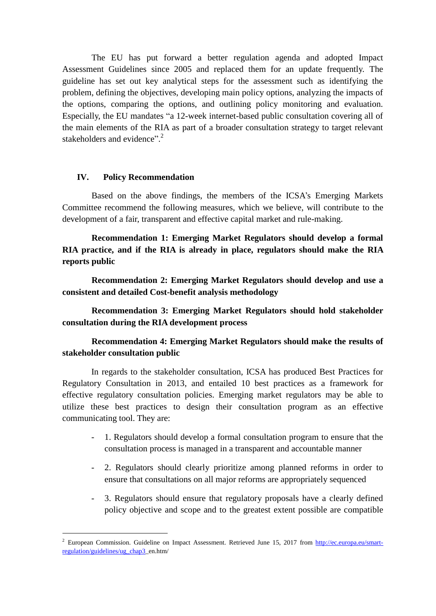The EU has put forward a better regulation agenda and adopted Impact Assessment Guidelines since 2005 and replaced them for an update frequently. The guideline has set out key analytical steps for the assessment such as identifying the problem, defining the objectives, developing main policy options, analyzing the impacts of the options, comparing the options, and outlining policy monitoring and evaluation. Especially, the EU mandates "a 12-week internet-based public consultation covering all of the main elements of the RIA as part of a broader consultation strategy to target relevant stakeholders and evidence".<sup>2</sup>

#### **IV. Policy Recommendation**

-

Based on the above findings, the members of the ICSA's Emerging Markets Committee recommend the following measures, which we believe, will contribute to the development of a fair, transparent and effective capital market and rule-making.

**Recommendation 1: Emerging Market Regulators should develop a formal RIA practice, and if the RIA is already in place, regulators should make the RIA reports public** 

**Recommendation 2: Emerging Market Regulators should develop and use a consistent and detailed Cost-benefit analysis methodology** 

**Recommendation 3: Emerging Market Regulators should hold stakeholder consultation during the RIA development process**

## **Recommendation 4: Emerging Market Regulators should make the results of stakeholder consultation public**

In regards to the stakeholder consultation, ICSA has produced Best Practices for Regulatory Consultation in 2013, and entailed 10 best practices as a framework for effective regulatory consultation policies. Emerging market regulators may be able to utilize these best practices to design their consultation program as an effective communicating tool. They are:

- 1. Regulators should develop a formal consultation program to ensure that the consultation process is managed in a transparent and accountable manner
- 2. Regulators should clearly prioritize among planned reforms in order to ensure that consultations on all major reforms are appropriately sequenced
- 3. Regulators should ensure that regulatory proposals have a clearly defined policy objective and scope and to the greatest extent possible are compatible

<sup>&</sup>lt;sup>2</sup> European Commission. Guideline on Impact Assessment. Retrieved June 15, 2017 from [http://ec.europa.eu/smart](http://ec.europa.eu/smart-regulation/guidelines/ug_chap3)[regulation/guidelines/ug\\_chap3\\_](http://ec.europa.eu/smart-regulation/guidelines/ug_chap3)en.htm/